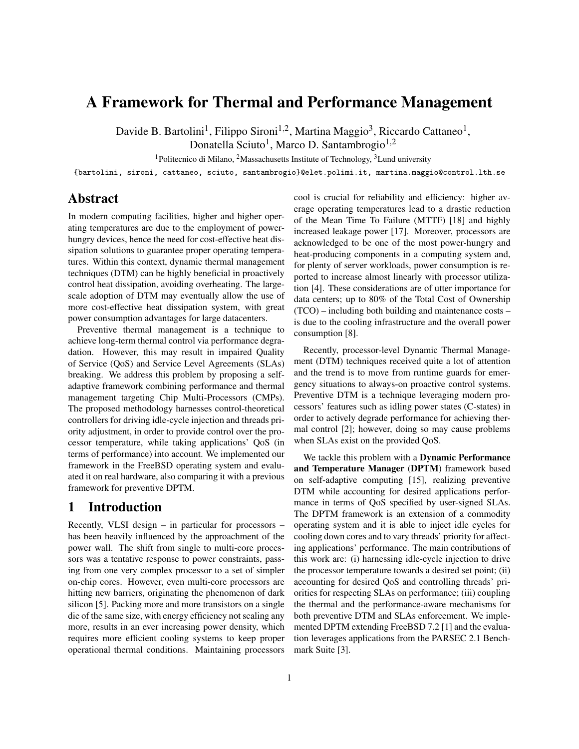# A Framework for Thermal and Performance Management

Davide B. Bartolini<sup>1</sup>, Filippo Sironi<sup>1,2</sup>, Martina Maggio<sup>3</sup>, Riccardo Cattaneo<sup>1</sup>,

Donatella Sciuto<sup>1</sup>, Marco D. Santambrogio<sup>1,2</sup>

<sup>1</sup>Politecnico di Milano, <sup>2</sup>Massachusetts Institute of Technology,  $3$ Lund university

{bartolini, sironi, cattaneo, sciuto, santambrogio}@elet.polimi.it, martina.maggio@control.lth.se

### Abstract

In modern computing facilities, higher and higher operating temperatures are due to the employment of powerhungry devices, hence the need for cost-effective heat dissipation solutions to guarantee proper operating temperatures. Within this context, dynamic thermal management techniques (DTM) can be highly beneficial in proactively control heat dissipation, avoiding overheating. The largescale adoption of DTM may eventually allow the use of more cost-effective heat dissipation system, with great power consumption advantages for large datacenters.

Preventive thermal management is a technique to achieve long-term thermal control via performance degradation. However, this may result in impaired Quality of Service (QoS) and Service Level Agreements (SLAs) breaking. We address this problem by proposing a selfadaptive framework combining performance and thermal management targeting Chip Multi-Processors (CMPs). The proposed methodology harnesses control-theoretical controllers for driving idle-cycle injection and threads priority adjustment, in order to provide control over the processor temperature, while taking applications' QoS (in terms of performance) into account. We implemented our framework in the FreeBSD operating system and evaluated it on real hardware, also comparing it with a previous framework for preventive DPTM.

# 1 Introduction

Recently, VLSI design – in particular for processors – has been heavily influenced by the approachment of the power wall. The shift from single to multi-core processors was a tentative response to power constraints, passing from one very complex processor to a set of simpler on-chip cores. However, even multi-core processors are hitting new barriers, originating the phenomenon of dark silicon [5]. Packing more and more transistors on a single die of the same size, with energy efficiency not scaling any more, results in an ever increasing power density, which requires more efficient cooling systems to keep proper operational thermal conditions. Maintaining processors cool is crucial for reliability and efficiency: higher average operating temperatures lead to a drastic reduction of the Mean Time To Failure (MTTF) [18] and highly increased leakage power [17]. Moreover, processors are acknowledged to be one of the most power-hungry and heat-producing components in a computing system and, for plenty of server workloads, power consumption is reported to increase almost linearly with processor utilization [4]. These considerations are of utter importance for data centers; up to 80% of the Total Cost of Ownership (TCO) – including both building and maintenance costs – is due to the cooling infrastructure and the overall power consumption [8].

Recently, processor-level Dynamic Thermal Management (DTM) techniques received quite a lot of attention and the trend is to move from runtime guards for emergency situations to always-on proactive control systems. Preventive DTM is a technique leveraging modern processors' features such as idling power states (C-states) in order to actively degrade performance for achieving thermal control [2]; however, doing so may cause problems when SLAs exist on the provided QoS.

We tackle this problem with a **Dynamic Performance** and Temperature Manager (DPTM) framework based on self-adaptive computing [15], realizing preventive DTM while accounting for desired applications performance in terms of QoS specified by user-signed SLAs. The DPTM framework is an extension of a commodity operating system and it is able to inject idle cycles for cooling down cores and to vary threads' priority for affecting applications' performance. The main contributions of this work are: (i) harnessing idle-cycle injection to drive the processor temperature towards a desired set point; (ii) accounting for desired QoS and controlling threads' priorities for respecting SLAs on performance; (iii) coupling the thermal and the performance-aware mechanisms for both preventive DTM and SLAs enforcement. We implemented DPTM extending FreeBSD 7.2 [1] and the evaluation leverages applications from the PARSEC 2.1 Benchmark Suite [3].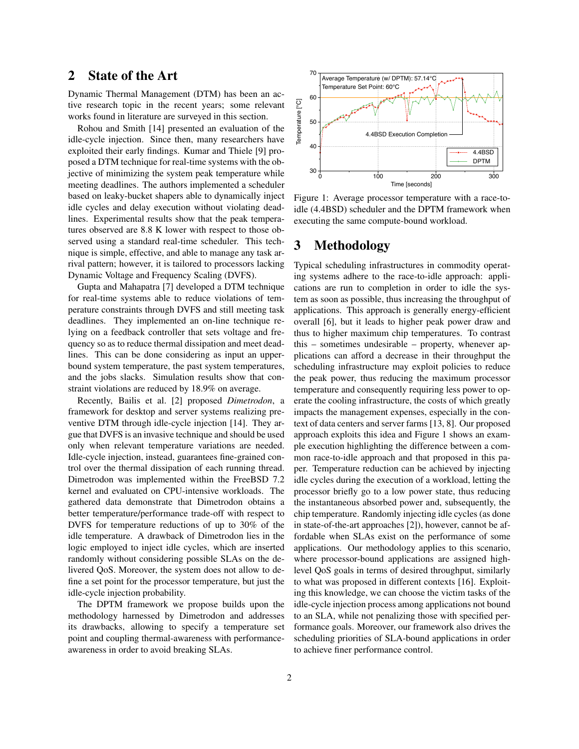# 2 State of the Art

Dynamic Thermal Management (DTM) has been an active research topic in the recent years; some relevant works found in literature are surveyed in this section.

Rohou and Smith [14] presented an evaluation of the idle-cycle injection. Since then, many researchers have exploited their early findings. Kumar and Thiele [9] proposed a DTM technique for real-time systems with the objective of minimizing the system peak temperature while meeting deadlines. The authors implemented a scheduler based on leaky-bucket shapers able to dynamically inject idle cycles and delay execution without violating deadlines. Experimental results show that the peak temperatures observed are 8.8 K lower with respect to those observed using a standard real-time scheduler. This technique is simple, effective, and able to manage any task arrival pattern; however, it is tailored to processors lacking Dynamic Voltage and Frequency Scaling (DVFS).

Gupta and Mahapatra [7] developed a DTM technique for real-time systems able to reduce violations of temperature constraints through DVFS and still meeting task deadlines. They implemented an on-line technique relying on a feedback controller that sets voltage and frequency so as to reduce thermal dissipation and meet deadlines. This can be done considering as input an upperbound system temperature, the past system temperatures, and the jobs slacks. Simulation results show that constraint violations are reduced by 18.9% on average.

Recently, Bailis et al. [2] proposed *Dimetrodon*, a framework for desktop and server systems realizing preventive DTM through idle-cycle injection [14]. They argue that DVFS is an invasive technique and should be used only when relevant temperature variations are needed. Idle-cycle injection, instead, guarantees fine-grained control over the thermal dissipation of each running thread. Dimetrodon was implemented within the FreeBSD 7.2 kernel and evaluated on CPU-intensive workloads. The gathered data demonstrate that Dimetrodon obtains a better temperature/performance trade-off with respect to DVFS for temperature reductions of up to 30% of the idle temperature. A drawback of Dimetrodon lies in the logic employed to inject idle cycles, which are inserted randomly without considering possible SLAs on the delivered QoS. Moreover, the system does not allow to define a set point for the processor temperature, but just the idle-cycle injection probability.

The DPTM framework we propose builds upon the methodology harnessed by Dimetrodon and addresses its drawbacks, allowing to specify a temperature set point and coupling thermal-awareness with performanceawareness in order to avoid breaking SLAs.



Figure 1: Average processor temperature with a race-toidle (4.4BSD) scheduler and the DPTM framework when executing the same compute-bound workload.

# 3 Methodology

Typical scheduling infrastructures in commodity operating systems adhere to the race-to-idle approach: applications are run to completion in order to idle the system as soon as possible, thus increasing the throughput of applications. This approach is generally energy-efficient overall [6], but it leads to higher peak power draw and thus to higher maximum chip temperatures. To contrast this – sometimes undesirable – property, whenever applications can afford a decrease in their throughput the scheduling infrastructure may exploit policies to reduce the peak power, thus reducing the maximum processor temperature and consequently requiring less power to operate the cooling infrastructure, the costs of which greatly impacts the management expenses, especially in the context of data centers and server farms [13, 8]. Our proposed approach exploits this idea and Figure 1 shows an example execution highlighting the difference between a common race-to-idle approach and that proposed in this paper. Temperature reduction can be achieved by injecting idle cycles during the execution of a workload, letting the processor briefly go to a low power state, thus reducing the instantaneous absorbed power and, subsequently, the chip temperature. Randomly injecting idle cycles (as done in state-of-the-art approaches [2]), however, cannot be affordable when SLAs exist on the performance of some applications. Our methodology applies to this scenario, where processor-bound applications are assigned highlevel QoS goals in terms of desired throughput, similarly to what was proposed in different contexts [16]. Exploiting this knowledge, we can choose the victim tasks of the idle-cycle injection process among applications not bound to an SLA, while not penalizing those with specified performance goals. Moreover, our framework also drives the scheduling priorities of SLA-bound applications in order to achieve finer performance control.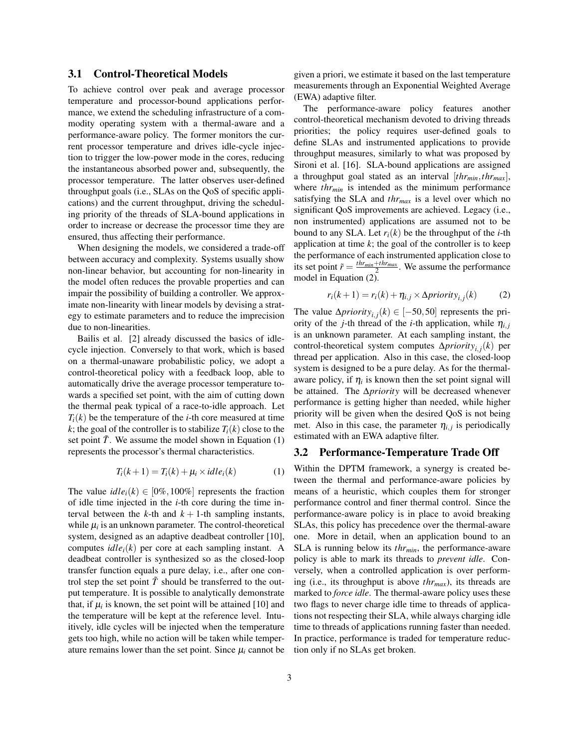#### 3.1 Control-Theoretical Models

To achieve control over peak and average processor temperature and processor-bound applications performance, we extend the scheduling infrastructure of a commodity operating system with a thermal-aware and a performance-aware policy. The former monitors the current processor temperature and drives idle-cycle injection to trigger the low-power mode in the cores, reducing the instantaneous absorbed power and, subsequently, the processor temperature. The latter observes user-defined throughput goals (i.e., SLAs on the QoS of specific applications) and the current throughput, driving the scheduling priority of the threads of SLA-bound applications in order to increase or decrease the processor time they are ensured, thus affecting their performance.

When designing the models, we considered a trade-off between accuracy and complexity. Systems usually show non-linear behavior, but accounting for non-linearity in the model often reduces the provable properties and can impair the possibility of building a controller. We approximate non-linearity with linear models by devising a strategy to estimate parameters and to reduce the imprecision due to non-linearities.

Bailis et al. [2] already discussed the basics of idlecycle injection. Conversely to that work, which is based on a thermal-unaware probabilistic policy, we adopt a control-theoretical policy with a feedback loop, able to automatically drive the average processor temperature towards a specified set point, with the aim of cutting down the thermal peak typical of a race-to-idle approach. Let  $T_i(k)$  be the temperature of the *i*-th core measured at time *k*; the goal of the controller is to stabilize  $T_i(k)$  close to the set point  $\tilde{T}$ . We assume the model shown in Equation (1) represents the processor's thermal characteristics.

$$
T_i(k+1) = T_i(k) + \mu_i \times idle_i(k)
$$
 (1)

The value  $idle_i(k) \in [0\%, 100\%]$  represents the fraction of idle time injected in the *i*-th core during the time interval between the  $k$ -th and  $k + 1$ -th sampling instants, while  $\mu_i$  is an unknown parameter. The control-theoretical system, designed as an adaptive deadbeat controller [10], computes  $idle<sub>i</sub>(k)$  per core at each sampling instant. A deadbeat controller is synthesized so as the closed-loop transfer function equals a pure delay, i.e., after one control step the set point  $\tilde{T}$  should be transferred to the output temperature. It is possible to analytically demonstrate that, if  $\mu_i$  is known, the set point will be attained [10] and the temperature will be kept at the reference level. Intuitively, idle cycles will be injected when the temperature gets too high, while no action will be taken while temperature remains lower than the set point. Since  $\mu_i$  cannot be given a priori, we estimate it based on the last temperature measurements through an Exponential Weighted Average (EWA) adaptive filter.

The performance-aware policy features another control-theoretical mechanism devoted to driving threads priorities; the policy requires user-defined goals to define SLAs and instrumented applications to provide throughput measures, similarly to what was proposed by Sironi et al. [16]. SLA-bound applications are assigned a throughput goal stated as an interval [*thrmin*,*thrmax*], where *thr<sub>min</sub>* is intended as the minimum performance satisfying the SLA and *thrmax* is a level over which no significant QoS improvements are achieved. Legacy (i.e., non instrumented) applications are assumed not to be bound to any SLA. Let  $r_i(k)$  be the throughput of the *i*-th application at time *k*; the goal of the controller is to keep the performance of each instrumented application close to its set point  $\tilde{r} = \frac{thr_{min}+thr_{max}}{2}$ . We assume the performance model in Equation (2).

$$
r_i(k+1) = r_i(k) + \eta_{i,j} \times \Delta priority_{i,j}(k)
$$
 (2)

The value  $\Delta priority_{i,j}(k) \in [-50, 50]$  represents the priority of the *j*-th thread of the *i*-th application, while  $\eta_{i,j}$ is an unknown parameter. At each sampling instant, the control-theoretical system computes ∆*priorityi*, *<sup>j</sup>* (*k*) per thread per application. Also in this case, the closed-loop system is designed to be a pure delay. As for the thermalaware policy, if  $\eta_i$  is known then the set point signal will be attained. The ∆*priority* will be decreased whenever performance is getting higher than needed, while higher priority will be given when the desired QoS is not being met. Also in this case, the parameter  $\eta_{i,j}$  is periodically estimated with an EWA adaptive filter.

#### 3.2 Performance-Temperature Trade Off

Within the DPTM framework, a synergy is created between the thermal and performance-aware policies by means of a heuristic, which couples them for stronger performance control and finer thermal control. Since the performance-aware policy is in place to avoid breaking SLAs, this policy has precedence over the thermal-aware one. More in detail, when an application bound to an SLA is running below its *thrmin*, the performance-aware policy is able to mark its threads to *prevent idle*. Conversely, when a controlled application is over performing (i.e., its throughput is above *thrmax*), its threads are marked to *force idle*. The thermal-aware policy uses these two flags to never charge idle time to threads of applications not respecting their SLA, while always charging idle time to threads of applications running faster than needed. In practice, performance is traded for temperature reduction only if no SLAs get broken.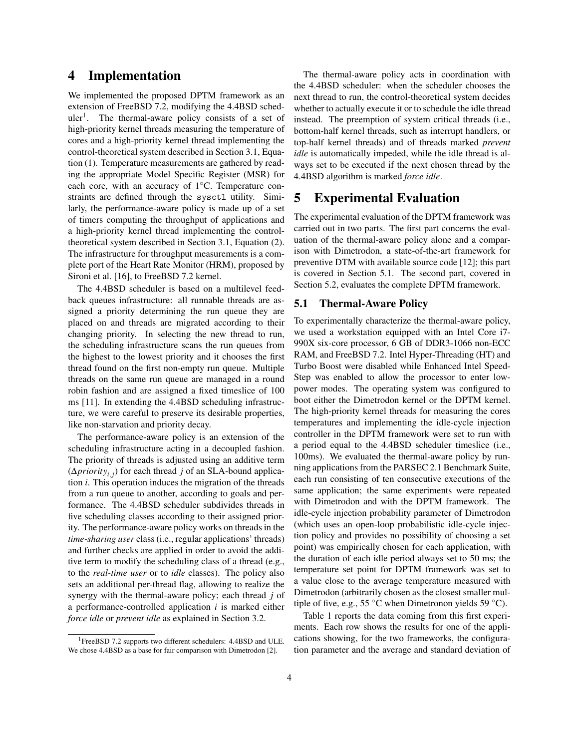### 4 Implementation

We implemented the proposed DPTM framework as an extension of FreeBSD 7.2, modifying the 4.4BSD scheduler<sup>1</sup>. The thermal-aware policy consists of a set of high-priority kernel threads measuring the temperature of cores and a high-priority kernel thread implementing the control-theoretical system described in Section 3.1, Equation (1). Temperature measurements are gathered by reading the appropriate Model Specific Register (MSR) for each core, with an accuracy of 1◦C. Temperature constraints are defined through the sysctl utility. Similarly, the performance-aware policy is made up of a set of timers computing the throughput of applications and a high-priority kernel thread implementing the controltheoretical system described in Section 3.1, Equation (2). The infrastructure for throughput measurements is a complete port of the Heart Rate Monitor (HRM), proposed by Sironi et al. [16], to FreeBSD 7.2 kernel.

The 4.4BSD scheduler is based on a multilevel feedback queues infrastructure: all runnable threads are assigned a priority determining the run queue they are placed on and threads are migrated according to their changing priority. In selecting the new thread to run, the scheduling infrastructure scans the run queues from the highest to the lowest priority and it chooses the first thread found on the first non-empty run queue. Multiple threads on the same run queue are managed in a round robin fashion and are assigned a fixed timeslice of 100 ms [11]. In extending the 4.4BSD scheduling infrastructure, we were careful to preserve its desirable properties, like non-starvation and priority decay.

The performance-aware policy is an extension of the scheduling infrastructure acting in a decoupled fashion. The priority of threads is adjusted using an additive term (∆*priorityi*, *<sup>j</sup>* ) for each thread *j* of an SLA-bound application *i*. This operation induces the migration of the threads from a run queue to another, according to goals and performance. The 4.4BSD scheduler subdivides threads in five scheduling classes according to their assigned priority. The performance-aware policy works on threads in the *time-sharing user* class (i.e., regular applications' threads) and further checks are applied in order to avoid the additive term to modify the scheduling class of a thread (e.g., to the *real-time user* or to *idle* classes). The policy also sets an additional per-thread flag, allowing to realize the synergy with the thermal-aware policy; each thread *j* of a performance-controlled application *i* is marked either *force idle* or *prevent idle* as explained in Section 3.2.

The thermal-aware policy acts in coordination with the 4.4BSD scheduler: when the scheduler chooses the next thread to run, the control-theoretical system decides whether to actually execute it or to schedule the idle thread instead. The preemption of system critical threads (i.e., bottom-half kernel threads, such as interrupt handlers, or top-half kernel threads) and of threads marked *prevent idle* is automatically impeded, while the idle thread is always set to be executed if the next chosen thread by the 4.4BSD algorithm is marked *force idle*.

# 5 Experimental Evaluation

The experimental evaluation of the DPTM framework was carried out in two parts. The first part concerns the evaluation of the thermal-aware policy alone and a comparison with Dimetrodon, a state-of-the-art framework for preventive DTM with available source code [12]; this part is covered in Section 5.1. The second part, covered in Section 5.2, evaluates the complete DPTM framework.

#### 5.1 Thermal-Aware Policy

To experimentally characterize the thermal-aware policy, we used a workstation equipped with an Intel Core i7- 990X six-core processor, 6 GB of DDR3-1066 non-ECC RAM, and FreeBSD 7.2. Intel Hyper-Threading (HT) and Turbo Boost were disabled while Enhanced Intel Speed-Step was enabled to allow the processor to enter lowpower modes. The operating system was configured to boot either the Dimetrodon kernel or the DPTM kernel. The high-priority kernel threads for measuring the cores temperatures and implementing the idle-cycle injection controller in the DPTM framework were set to run with a period equal to the 4.4BSD scheduler timeslice (i.e., 100ms). We evaluated the thermal-aware policy by running applications from the PARSEC 2.1 Benchmark Suite, each run consisting of ten consecutive executions of the same application; the same experiments were repeated with Dimetrodon and with the DPTM framework. The idle-cycle injection probability parameter of Dimetrodon (which uses an open-loop probabilistic idle-cycle injection policy and provides no possibility of choosing a set point) was empirically chosen for each application, with the duration of each idle period always set to 50 ms; the temperature set point for DPTM framework was set to a value close to the average temperature measured with Dimetrodon (arbitrarily chosen as the closest smaller multiple of five, e.g., 55  $\degree$ C when Dimetronon yields 59  $\degree$ C).

Table 1 reports the data coming from this first experiments. Each row shows the results for one of the applications showing, for the two frameworks, the configuration parameter and the average and standard deviation of

<sup>&</sup>lt;sup>1</sup>FreeBSD 7.2 supports two different schedulers: 4.4BSD and ULE. We chose 4.4BSD as a base for fair comparison with Dimetrodon [2].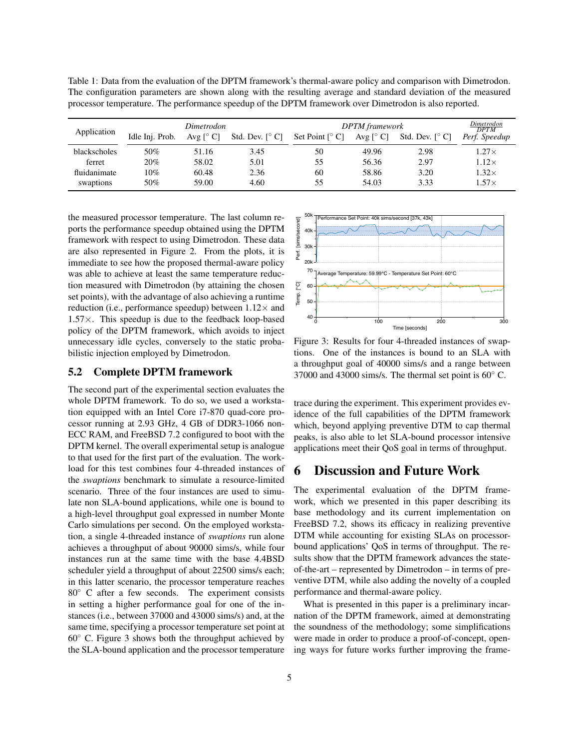Table 1: Data from the evaluation of the DPTM framework's thermal-aware policy and comparison with Dimetrodon. The configuration parameters are shown along with the resulting average and standard deviation of the measured processor temperature. The performance speedup of the DPTM framework over Dimetrodon is also reported.

| Application  | Dimetrodon      |                               |                                           | <b>DPTM</b> framework                      |                               |                                           | Dimet rodon<br><b>DPTM</b> |
|--------------|-----------------|-------------------------------|-------------------------------------------|--------------------------------------------|-------------------------------|-------------------------------------------|----------------------------|
|              | Idle Inj. Prob. | Avg $\lceil^{\circ} C \rceil$ | Std. Dev. $\lceil^{\circ} \text{C}\rceil$ | Set Point $\lceil^{\circ} \text{C} \rceil$ | Avg $\lceil^{\circ} C \rceil$ | Std. Dev. $\lceil^{\circ} \text{C}\rceil$ | Perf. Speedup              |
| blackscholes | 50%             | 51.16                         | 3.45                                      | 50                                         | 49.96                         | 2.98                                      | $1.27\times$               |
| ferret       | 20%             | 58.02                         | 5.01                                      | 55                                         | 56.36                         | 2.97                                      | $1.12\times$               |
| fluidanimate | 10%             | 60.48                         | 2.36                                      | 60                                         | 58.86                         | 3.20                                      | $1.32\times$               |
| swaptions    | 50%             | 59.00                         | 4.60                                      | 55                                         | 54.03                         | 3.33                                      | $1.57\times$               |

the measured processor temperature. The last column reports the performance speedup obtained using the DPTM framework with respect to using Dimetrodon. These data are also represented in Figure 2. From the plots, it is immediate to see how the proposed thermal-aware policy was able to achieve at least the same temperature reduction measured with Dimetrodon (by attaining the chosen set points), with the advantage of also achieving a runtime reduction (i.e., performance speedup) between  $1.12\times$  and  $1.57\times$ . This speedup is due to the feedback loop-based policy of the DPTM framework, which avoids to inject unnecessary idle cycles, conversely to the static probabilistic injection employed by Dimetrodon.

#### 5.2 Complete DPTM framework

The second part of the experimental section evaluates the whole DPTM framework. To do so, we used a workstation equipped with an Intel Core i7-870 quad-core processor running at 2.93 GHz, 4 GB of DDR3-1066 non-ECC RAM, and FreeBSD 7.2 configured to boot with the DPTM kernel. The overall experimental setup is analogue to that used for the first part of the evaluation. The workload for this test combines four 4-threaded instances of the *swaptions* benchmark to simulate a resource-limited scenario. Three of the four instances are used to simulate non SLA-bound applications, while one is bound to a high-level throughput goal expressed in number Monte Carlo simulations per second. On the employed workstation, a single 4-threaded instance of *swaptions* run alone achieves a throughput of about 90000 sims/s, while four instances run at the same time with the base 4.4BSD scheduler yield a throughput of about 22500 sims/s each; in this latter scenario, the processor temperature reaches 80◦ C after a few seconds. The experiment consists in setting a higher performance goal for one of the instances (i.e., between 37000 and 43000 sims/s) and, at the same time, specifying a processor temperature set point at 60◦ C. Figure 3 shows both the throughput achieved by the SLA-bound application and the processor temperature



Figure 3: Results for four 4-threaded instances of swaptions. One of the instances is bound to an SLA with a throughput goal of 40000 sims/s and a range between 37000 and 43000 sims/s. The thermal set point is 60◦ C.

trace during the experiment. This experiment provides evidence of the full capabilities of the DPTM framework which, beyond applying preventive DTM to cap thermal peaks, is also able to let SLA-bound processor intensive applications meet their QoS goal in terms of throughput.

### 6 Discussion and Future Work

The experimental evaluation of the DPTM framework, which we presented in this paper describing its base methodology and its current implementation on FreeBSD 7.2, shows its efficacy in realizing preventive DTM while accounting for existing SLAs on processorbound applications' QoS in terms of throughput. The results show that the DPTM framework advances the stateof-the-art – represented by Dimetrodon – in terms of preventive DTM, while also adding the novelty of a coupled performance and thermal-aware policy.

What is presented in this paper is a preliminary incarnation of the DPTM framework, aimed at demonstrating the soundness of the methodology; some simplifications were made in order to produce a proof-of-concept, opening ways for future works further improving the frame-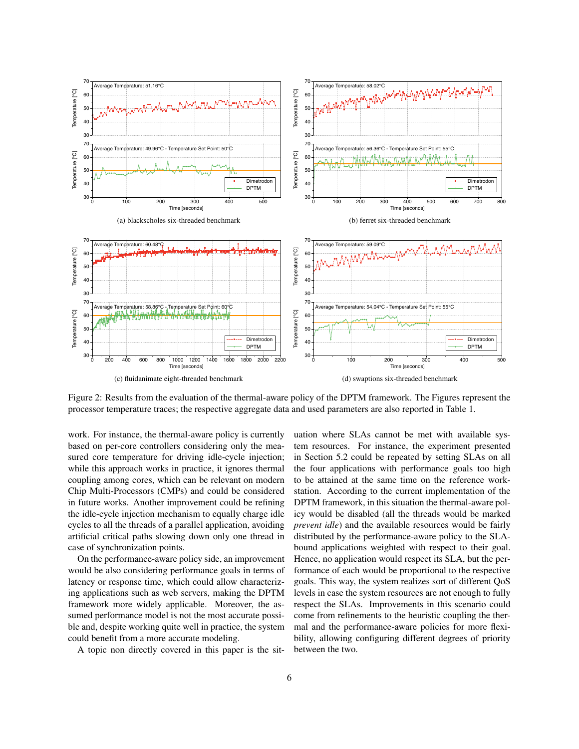

Figure 2: Results from the evaluation of the thermal-aware policy of the DPTM framework. The Figures represent the processor temperature traces; the respective aggregate data and used parameters are also reported in Table 1.

work. For instance, the thermal-aware policy is currently based on per-core controllers considering only the measured core temperature for driving idle-cycle injection; while this approach works in practice, it ignores thermal coupling among cores, which can be relevant on modern Chip Multi-Processors (CMPs) and could be considered in future works. Another improvement could be refining the idle-cycle injection mechanism to equally charge idle cycles to all the threads of a parallel application, avoiding artificial critical paths slowing down only one thread in case of synchronization points.

On the performance-aware policy side, an improvement would be also considering performance goals in terms of latency or response time, which could allow characterizing applications such as web servers, making the DPTM framework more widely applicable. Moreover, the assumed performance model is not the most accurate possible and, despite working quite well in practice, the system could benefit from a more accurate modeling.

A topic non directly covered in this paper is the sit-

uation where SLAs cannot be met with available system resources. For instance, the experiment presented in Section 5.2 could be repeated by setting SLAs on all the four applications with performance goals too high to be attained at the same time on the reference workstation. According to the current implementation of the DPTM framework, in this situation the thermal-aware policy would be disabled (all the threads would be marked *prevent idle*) and the available resources would be fairly distributed by the performance-aware policy to the SLAbound applications weighted with respect to their goal. Hence, no application would respect its SLA, but the performance of each would be proportional to the respective goals. This way, the system realizes sort of different QoS levels in case the system resources are not enough to fully respect the SLAs. Improvements in this scenario could come from refinements to the heuristic coupling the thermal and the performance-aware policies for more flexibility, allowing configuring different degrees of priority between the two.